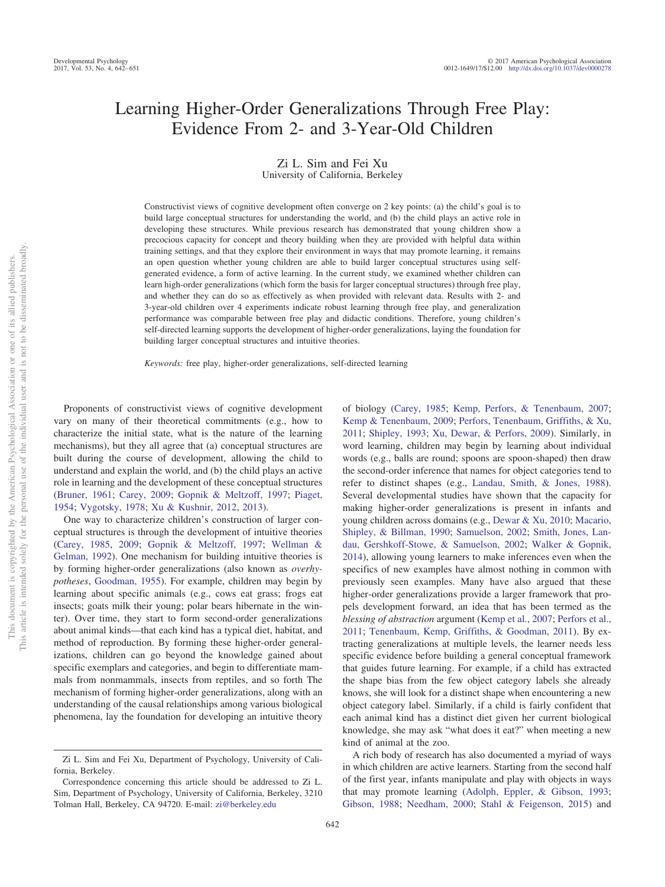# Learning Higher-Order Generalizations Through Free Play: Evidence From 2- and 3-Year-Old Children

# Zi L. Sim and Fei Xu

University of California, Berkeley

Constructivist views of cognitive development often converge on 2 key points: (a) the child's goal is to build large conceptual structures for understanding the world, and (b) the child plays an active role in developing these structures. While previous research has demonstrated that young children show a precocious capacity for concept and theory building when they are provided with helpful data within training settings, and that they explore their environment in ways that may promote learning, it remains an open question whether young children are able to build larger conceptual structures using selfgenerated evidence, a form of active learning. In the current study, we examined whether children can learn high-order generalizations (which form the basis for larger conceptual structures) through free play, and whether they can do so as effectively as when provided with relevant data. Results with 2- and 3-year-old children over 4 experiments indicate robust learning through free play, and generalization performance was comparable between free play and didactic conditions. Therefore, young children's self-directed learning supports the development of higher-order generalizations, laying the foundation for building larger conceptual structures and intuitive theories.

*Keywords:* free play, higher-order generalizations, self-directed learning

Proponents of constructivist views of cognitive development vary on many of their theoretical commitments (e.g., how to characterize the initial state, what is the nature of the learning mechanisms), but they all agree that (a) conceptual structures are built during the course of development, allowing the child to understand and explain the world, and (b) the child plays an active role in learning and the development of these conceptual structures [\(Bruner, 1961;](#page-7-0) [Carey, 2009;](#page-7-1) [Gopnik & Meltzoff, 1997;](#page-8-0) [Piaget,](#page-8-1) [1954;](#page-8-1) [Vygotsky, 1978;](#page-9-0) [Xu & Kushnir, 2012,](#page-9-1) [2013\)](#page-9-2).

One way to characterize children's construction of larger conceptual structures is through the development of intuitive theories [\(Carey, 1985,](#page-7-2) [2009;](#page-7-1) [Gopnik & Meltzoff, 1997;](#page-8-0) [Wellman &](#page-9-3) [Gelman, 1992\)](#page-9-3). One mechanism for building intuitive theories is by forming higher-order generalizations (also known as *overhypotheses*, [Goodman, 1955\)](#page-8-2). For example, children may begin by learning about specific animals (e.g., cows eat grass; frogs eat insects; goats milk their young; polar bears hibernate in the winter). Over time, they start to form second-order generalizations about animal kinds—that each kind has a typical diet, habitat, and method of reproduction. By forming these higher-order generalizations, children can go beyond the knowledge gained about specific exemplars and categories, and begin to differentiate mammals from nonmammals, insects from reptiles, and so forth The mechanism of forming higher-order generalizations, along with an understanding of the causal relationships among various biological phenomena, lay the foundation for developing an intuitive theory

642

of biology [\(Carey, 1985;](#page-7-2) [Kemp, Perfors, & Tenenbaum, 2007;](#page-8-3) [Kemp & Tenenbaum, 2009;](#page-8-4) [Perfors, Tenenbaum, Griffiths, & Xu,](#page-8-5) [2011;](#page-8-5) [Shipley, 1993;](#page-8-6) [Xu, Dewar, & Perfors, 2009\)](#page-9-4). Similarly, in word learning, children may begin by learning about individual words (e.g., balls are round; spoons are spoon-shaped) then draw the second-order inference that names for object categories tend to refer to distinct shapes (e.g., [Landau, Smith, & Jones, 1988\)](#page-8-7). Several developmental studies have shown that the capacity for making higher-order generalizations is present in infants and young children across domains (e.g., [Dewar & Xu, 2010;](#page-7-3) [Macario,](#page-8-8) [Shipley, & Billman, 1990;](#page-8-8) [Samuelson, 2002;](#page-8-9) [Smith, Jones, Lan](#page-8-10)[dau, Gershkoff-Stowe, & Samuelson, 2002;](#page-8-10) [Walker & Gopnik,](#page-9-5) [2014\)](#page-9-5), allowing young learners to make inferences even when the specifics of new examples have almost nothing in common with previously seen examples. Many have also argued that these higher-order generalizations provide a larger framework that propels development forward, an idea that has been termed as the *blessing of abstraction* argument [\(Kemp et al., 2007;](#page-8-3) [Perfors et al.,](#page-8-5) [2011;](#page-8-5) [Tenenbaum, Kemp, Griffiths, & Goodman, 2011\)](#page-9-6). By extracting generalizations at multiple levels, the learner needs less specific evidence before building a general conceptual framework that guides future learning. For example, if a child has extracted the shape bias from the few object category labels she already knows, she will look for a distinct shape when encountering a new object category label. Similarly, if a child is fairly confident that each animal kind has a distinct diet given her current biological knowledge, she may ask "what does it eat?" when meeting a new kind of animal at the zoo.

A rich body of research has also documented a myriad of ways in which children are active learners. Starting from the second half of the first year, infants manipulate and play with objects in ways that may promote learning [\(Adolph, Eppler, & Gibson, 1993;](#page-7-4) [Gibson, 1988;](#page-8-11) [Needham, 2000;](#page-8-12) [Stahl & Feigenson, 2015\)](#page-9-7) and

Zi L. Sim and Fei Xu, Department of Psychology, University of California, Berkeley.

Correspondence concerning this article should be addressed to Zi L. Sim, Department of Psychology, University of California, Berkeley, 3210 Tolman Hall, Berkeley, CA 94720. E-mail: [zi@berkeley.edu](mailto:zi@berkeley.edu)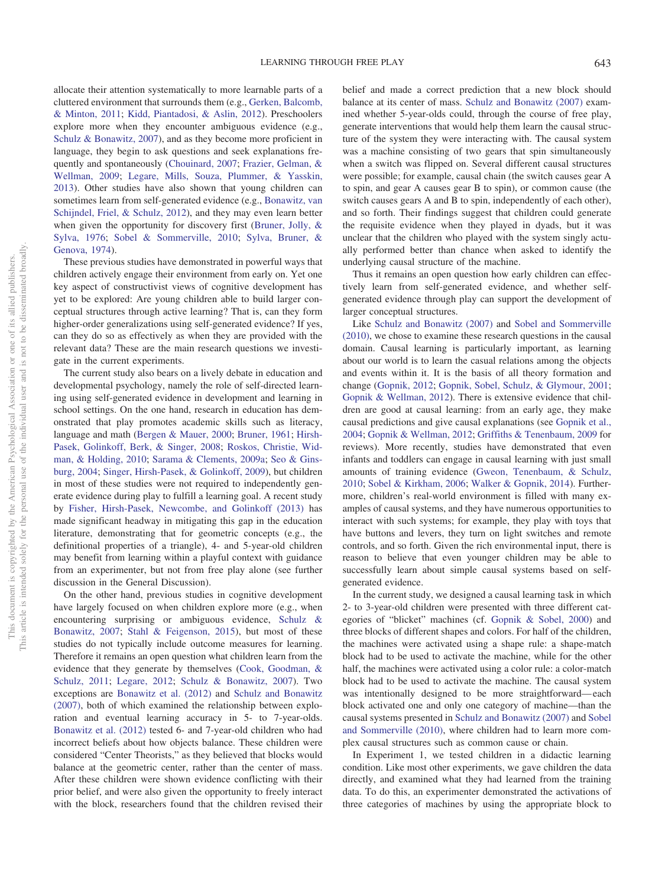allocate their attention systematically to more learnable parts of a cluttered environment that surrounds them (e.g., [Gerken, Balcomb,](#page-7-5) [& Minton, 2011;](#page-7-5) [Kidd, Piantadosi, & Aslin, 2012\)](#page-8-13). Preschoolers explore more when they encounter ambiguous evidence (e.g., [Schulz & Bonawitz, 2007\)](#page-8-14), and as they become more proficient in language, they begin to ask questions and seek explanations frequently and spontaneously [\(Chouinard, 2007;](#page-7-6) [Frazier, Gelman, &](#page-7-7) [Wellman, 2009;](#page-7-7) [Legare, Mills, Souza, Plummer, & Yasskin,](#page-8-15) [2013\)](#page-8-15). Other studies have also shown that young children can sometimes learn from self-generated evidence (e.g., [Bonawitz, van](#page-7-8) [Schijndel, Friel, & Schulz, 2012\)](#page-7-8), and they may even learn better when given the opportunity for discovery first [\(Bruner, Jolly, &](#page-7-9) [Sylva, 1976;](#page-7-9) [Sobel & Sommerville, 2010;](#page-9-8) [Sylva, Bruner, &](#page-9-9) [Genova, 1974\)](#page-9-9).

These previous studies have demonstrated in powerful ways that children actively engage their environment from early on. Yet one key aspect of constructivist views of cognitive development has yet to be explored: Are young children able to build larger conceptual structures through active learning? That is, can they form higher-order generalizations using self-generated evidence? If yes, can they do so as effectively as when they are provided with the relevant data? These are the main research questions we investigate in the current experiments.

The current study also bears on a lively debate in education and developmental psychology, namely the role of self-directed learning using self-generated evidence in development and learning in school settings. On the one hand, research in education has demonstrated that play promotes academic skills such as literacy, language and math [\(Bergen & Mauer, 2000;](#page-7-10) [Bruner, 1961;](#page-7-0) [Hirsh-](#page-8-16)[Pasek, Golinkoff, Berk, & Singer, 2008;](#page-8-16) [Roskos, Christie, Wid](#page-8-17)[man, & Holding, 2010;](#page-8-17) [Sarama & Clements, 2009a;](#page-8-18) [Seo & Gins](#page-8-19)[burg, 2004;](#page-8-19) [Singer, Hirsh-Pasek, & Golinkoff, 2009\)](#page-8-20), but children in most of these studies were not required to independently generate evidence during play to fulfill a learning goal. A recent study by [Fisher, Hirsh-Pasek, Newcombe, and Golinkoff \(2013\)](#page-7-11) has made significant headway in mitigating this gap in the education literature, demonstrating that for geometric concepts (e.g., the definitional properties of a triangle), 4- and 5-year-old children may benefit from learning within a playful context with guidance from an experimenter, but not from free play alone (see further discussion in the General Discussion).

On the other hand, previous studies in cognitive development have largely focused on when children explore more (e.g., when encountering surprising or ambiguous evidence, [Schulz &](#page-8-14) [Bonawitz, 2007;](#page-8-14) [Stahl & Feigenson, 2015\)](#page-9-7), but most of these studies do not typically include outcome measures for learning. Therefore it remains an open question what children learn from the evidence that they generate by themselves [\(Cook, Goodman, &](#page-7-12) [Schulz, 2011;](#page-7-12) [Legare, 2012;](#page-8-21) [Schulz & Bonawitz, 2007\)](#page-8-14). Two exceptions are [Bonawitz et al. \(2012\)](#page-7-8) and [Schulz and Bonawitz](#page-8-14) [\(2007\),](#page-8-14) both of which examined the relationship between exploration and eventual learning accuracy in 5- to 7-year-olds. [Bonawitz et al. \(2012\)](#page-7-8) tested 6- and 7-year-old children who had incorrect beliefs about how objects balance. These children were considered "Center Theorists," as they believed that blocks would balance at the geometric center, rather than the center of mass. After these children were shown evidence conflicting with their prior belief, and were also given the opportunity to freely interact with the block, researchers found that the children revised their

belief and made a correct prediction that a new block should balance at its center of mass. [Schulz and Bonawitz \(2007\)](#page-8-14) examined whether 5-year-olds could, through the course of free play, generate interventions that would help them learn the causal structure of the system they were interacting with. The causal system was a machine consisting of two gears that spin simultaneously when a switch was flipped on. Several different causal structures were possible; for example, causal chain (the switch causes gear A to spin, and gear A causes gear B to spin), or common cause (the switch causes gears A and B to spin, independently of each other), and so forth. Their findings suggest that children could generate the requisite evidence when they played in dyads, but it was unclear that the children who played with the system singly actually performed better than chance when asked to identify the underlying causal structure of the machine.

Thus it remains an open question how early children can effectively learn from self-generated evidence, and whether selfgenerated evidence through play can support the development of larger conceptual structures.

Like [Schulz and Bonawitz \(2007\)](#page-8-14) and [Sobel and Sommerville](#page-9-8) [\(2010\),](#page-9-8) we chose to examine these research questions in the causal domain. Causal learning is particularly important, as learning about our world is to learn the casual relations among the objects and events within it. It is the basis of all theory formation and change [\(Gopnik, 2012;](#page-8-22) [Gopnik, Sobel, Schulz, & Glymour, 2001;](#page-8-23) [Gopnik & Wellman, 2012\)](#page-8-24). There is extensive evidence that children are good at causal learning: from an early age, they make causal predictions and give causal explanations (see [Gopnik et al.,](#page-8-25) [2004;](#page-8-25) [Gopnik & Wellman, 2012;](#page-8-24) [Griffiths & Tenenbaum, 2009](#page-8-26) for reviews). More recently, studies have demonstrated that even infants and toddlers can engage in causal learning with just small amounts of training evidence [\(Gweon, Tenenbaum, & Schulz,](#page-8-27) [2010;](#page-8-27) [Sobel & Kirkham, 2006;](#page-9-10) [Walker & Gopnik, 2014\)](#page-9-5). Furthermore, children's real-world environment is filled with many examples of causal systems, and they have numerous opportunities to interact with such systems; for example, they play with toys that have buttons and levers, they turn on light switches and remote controls, and so forth. Given the rich environmental input, there is reason to believe that even younger children may be able to successfully learn about simple causal systems based on selfgenerated evidence.

In the current study, we designed a causal learning task in which 2- to 3-year-old children were presented with three different categories of "blicket" machines (cf. [Gopnik & Sobel, 2000\)](#page-8-28) and three blocks of different shapes and colors. For half of the children, the machines were activated using a shape rule: a shape-match block had to be used to activate the machine, while for the other half, the machines were activated using a color rule: a color-match block had to be used to activate the machine. The causal system was intentionally designed to be more straightforward— each block activated one and only one category of machine—than the causal systems presented in [Schulz and Bonawitz \(2007\)](#page-8-14) and [Sobel](#page-9-8) [and Sommerville \(2010\),](#page-9-8) where children had to learn more complex causal structures such as common cause or chain.

In Experiment 1, we tested children in a didactic learning condition. Like most other experiments, we gave children the data directly, and examined what they had learned from the training data. To do this, an experimenter demonstrated the activations of three categories of machines by using the appropriate block to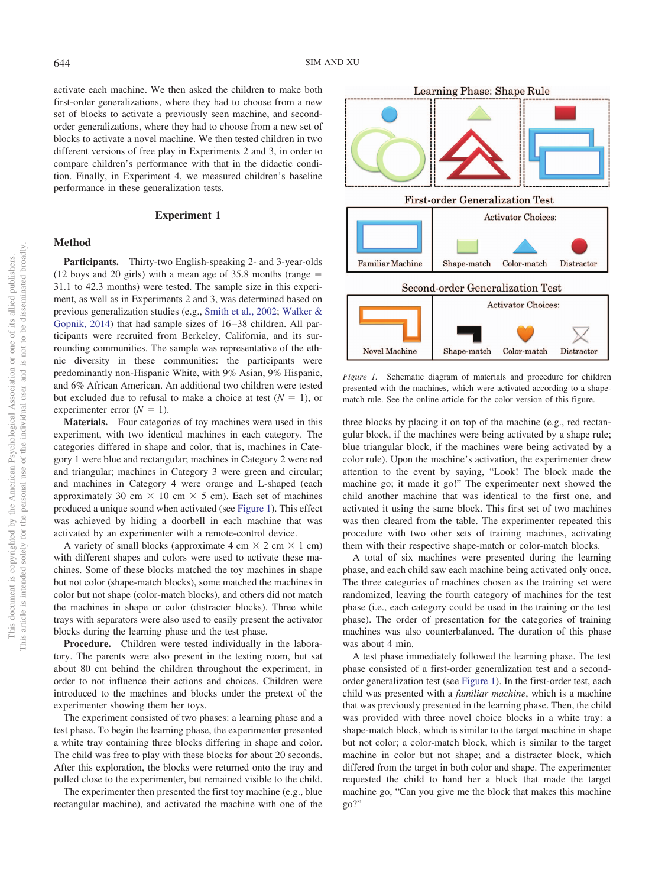activate each machine. We then asked the children to make both first-order generalizations, where they had to choose from a new set of blocks to activate a previously seen machine, and secondorder generalizations, where they had to choose from a new set of blocks to activate a novel machine. We then tested children in two different versions of free play in Experiments 2 and 3, in order to compare children's performance with that in the didactic condition. Finally, in Experiment 4, we measured children's baseline performance in these generalization tests.

#### **Experiment 1**

#### **Method**

**Participants.** Thirty-two English-speaking 2- and 3-year-olds  $(12 \text{ boys and } 20 \text{ girls})$  with a mean age of 35.8 months (range = 31.1 to 42.3 months) were tested. The sample size in this experiment, as well as in Experiments 2 and 3, was determined based on previous generalization studies (e.g., [Smith et al., 2002;](#page-8-10) [Walker &](#page-9-5) [Gopnik, 2014\)](#page-9-5) that had sample sizes of 16 –38 children. All participants were recruited from Berkeley, California, and its surrounding communities. The sample was representative of the ethnic diversity in these communities: the participants were predominantly non-Hispanic White, with 9% Asian, 9% Hispanic, and 6% African American. An additional two children were tested but excluded due to refusal to make a choice at test  $(N = 1)$ , or experimenter error  $(N = 1)$ .

**Materials.** Four categories of toy machines were used in this experiment, with two identical machines in each category. The categories differed in shape and color, that is, machines in Category 1 were blue and rectangular; machines in Category 2 were red and triangular; machines in Category 3 were green and circular; and machines in Category 4 were orange and L-shaped (each approximately 30 cm  $\times$  10 cm  $\times$  5 cm). Each set of machines produced a unique sound when activated (see [Figure 1\)](#page-2-0). This effect was achieved by hiding a doorbell in each machine that was activated by an experimenter with a remote-control device.

A variety of small blocks (approximate 4 cm  $\times$  2 cm  $\times$  1 cm) with different shapes and colors were used to activate these machines. Some of these blocks matched the toy machines in shape but not color (shape-match blocks), some matched the machines in color but not shape (color-match blocks), and others did not match the machines in shape or color (distracter blocks). Three white trays with separators were also used to easily present the activator blocks during the learning phase and the test phase.

**Procedure.** Children were tested individually in the laboratory. The parents were also present in the testing room, but sat about 80 cm behind the children throughout the experiment, in order to not influence their actions and choices. Children were introduced to the machines and blocks under the pretext of the experimenter showing them her toys.

The experiment consisted of two phases: a learning phase and a test phase. To begin the learning phase, the experimenter presented a white tray containing three blocks differing in shape and color. The child was free to play with these blocks for about 20 seconds. After this exploration, the blocks were returned onto the tray and pulled close to the experimenter, but remained visible to the child.

The experimenter then presented the first toy machine (e.g., blue rectangular machine), and activated the machine with one of the



<span id="page-2-0"></span>*Figure 1.* Schematic diagram of materials and procedure for children presented with the machines, which were activated according to a shapematch rule. See the online article for the color version of this figure.

Color-match

Distractor

Shape-match

Novel Machine

three blocks by placing it on top of the machine (e.g., red rectangular block, if the machines were being activated by a shape rule; blue triangular block, if the machines were being activated by a color rule). Upon the machine's activation, the experimenter drew attention to the event by saying, "Look! The block made the machine go; it made it go!" The experimenter next showed the child another machine that was identical to the first one, and activated it using the same block. This first set of two machines was then cleared from the table. The experimenter repeated this procedure with two other sets of training machines, activating them with their respective shape-match or color-match blocks.

A total of six machines were presented during the learning phase, and each child saw each machine being activated only once. The three categories of machines chosen as the training set were randomized, leaving the fourth category of machines for the test phase (i.e., each category could be used in the training or the test phase). The order of presentation for the categories of training machines was also counterbalanced. The duration of this phase was about 4 min.

A test phase immediately followed the learning phase. The test phase consisted of a first-order generalization test and a secondorder generalization test (see [Figure 1\)](#page-2-0). In the first-order test, each child was presented with a *familiar machine*, which is a machine that was previously presented in the learning phase. Then, the child was provided with three novel choice blocks in a white tray: a shape-match block, which is similar to the target machine in shape but not color; a color-match block, which is similar to the target machine in color but not shape; and a distracter block, which differed from the target in both color and shape. The experimenter requested the child to hand her a block that made the target machine go, "Can you give me the block that makes this machine  $\sigma$ <sup>"</sup>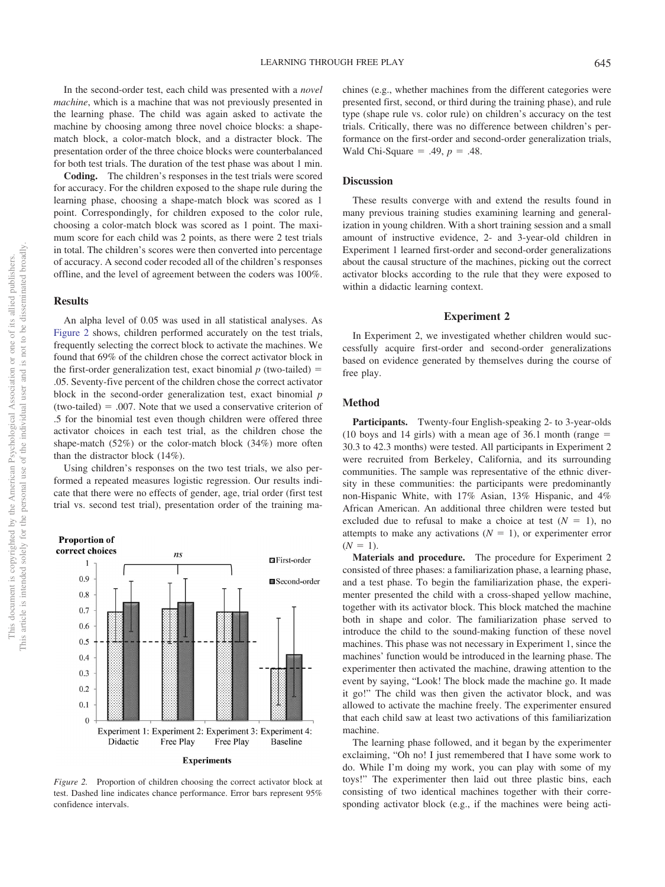In the second-order test, each child was presented with a *novel machine*, which is a machine that was not previously presented in the learning phase. The child was again asked to activate the machine by choosing among three novel choice blocks: a shapematch block, a color-match block, and a distracter block. The presentation order of the three choice blocks were counterbalanced for both test trials. The duration of the test phase was about 1 min.

**Coding.** The children's responses in the test trials were scored for accuracy. For the children exposed to the shape rule during the learning phase, choosing a shape-match block was scored as 1 point. Correspondingly, for children exposed to the color rule, choosing a color-match block was scored as 1 point. The maximum score for each child was 2 points, as there were 2 test trials in total. The children's scores were then converted into percentage of accuracy. A second coder recoded all of the children's responses offline, and the level of agreement between the coders was 100%.

#### **Results**

An alpha level of 0.05 was used in all statistical analyses. As [Figure 2](#page-3-0) shows, children performed accurately on the test trials, frequently selecting the correct block to activate the machines. We found that 69% of the children chose the correct activator block in the first-order generalization test, exact binomial  $p$  (two-tailed) = .05. Seventy-five percent of the children chose the correct activator block in the second-order generalization test, exact binomial *p*  $(two-tailed) = .007$ . Note that we used a conservative criterion of .5 for the binomial test even though children were offered three activator choices in each test trial, as the children chose the shape-match (52%) or the color-match block (34%) more often than the distractor block (14%).

Using children's responses on the two test trials, we also performed a repeated measures logistic regression. Our results indicate that there were no effects of gender, age, trial order (first test trial vs. second test trial), presentation order of the training ma-

**Proportion of** 



#### **Experiments**

<span id="page-3-0"></span>*Figure 2.* Proportion of children choosing the correct activator block at test. Dashed line indicates chance performance. Error bars represent 95% confidence intervals.

chines (e.g., whether machines from the different categories were presented first, second, or third during the training phase), and rule type (shape rule vs. color rule) on children's accuracy on the test trials. Critically, there was no difference between children's performance on the first-order and second-order generalization trials, Wald Chi-Square  $= .49, p = .48$ .

#### **Discussion**

These results converge with and extend the results found in many previous training studies examining learning and generalization in young children. With a short training session and a small amount of instructive evidence, 2- and 3-year-old children in Experiment 1 learned first-order and second-order generalizations about the causal structure of the machines, picking out the correct activator blocks according to the rule that they were exposed to within a didactic learning context.

#### **Experiment 2**

In Experiment 2, we investigated whether children would successfully acquire first-order and second-order generalizations based on evidence generated by themselves during the course of free play.

#### **Method**

**Participants.** Twenty-four English-speaking 2- to 3-year-olds (10 boys and 14 girls) with a mean age of 36.1 month (range  $=$ 30.3 to 42.3 months) were tested. All participants in Experiment 2 were recruited from Berkeley, California, and its surrounding communities. The sample was representative of the ethnic diversity in these communities: the participants were predominantly non-Hispanic White, with 17% Asian, 13% Hispanic, and 4% African American. An additional three children were tested but excluded due to refusal to make a choice at test  $(N = 1)$ , no attempts to make any activations  $(N = 1)$ , or experimenter error  $(N = 1)$ .

**Materials and procedure.** The procedure for Experiment 2 consisted of three phases: a familiarization phase, a learning phase, and a test phase. To begin the familiarization phase, the experimenter presented the child with a cross-shaped yellow machine, together with its activator block. This block matched the machine both in shape and color. The familiarization phase served to introduce the child to the sound-making function of these novel machines. This phase was not necessary in Experiment 1, since the machines' function would be introduced in the learning phase. The experimenter then activated the machine, drawing attention to the event by saying, "Look! The block made the machine go. It made it go!" The child was then given the activator block, and was allowed to activate the machine freely. The experimenter ensured that each child saw at least two activations of this familiarization machine.

The learning phase followed, and it began by the experimenter exclaiming, "Oh no! I just remembered that I have some work to do. While I'm doing my work, you can play with some of my toys!" The experimenter then laid out three plastic bins, each consisting of two identical machines together with their corresponding activator block (e.g., if the machines were being acti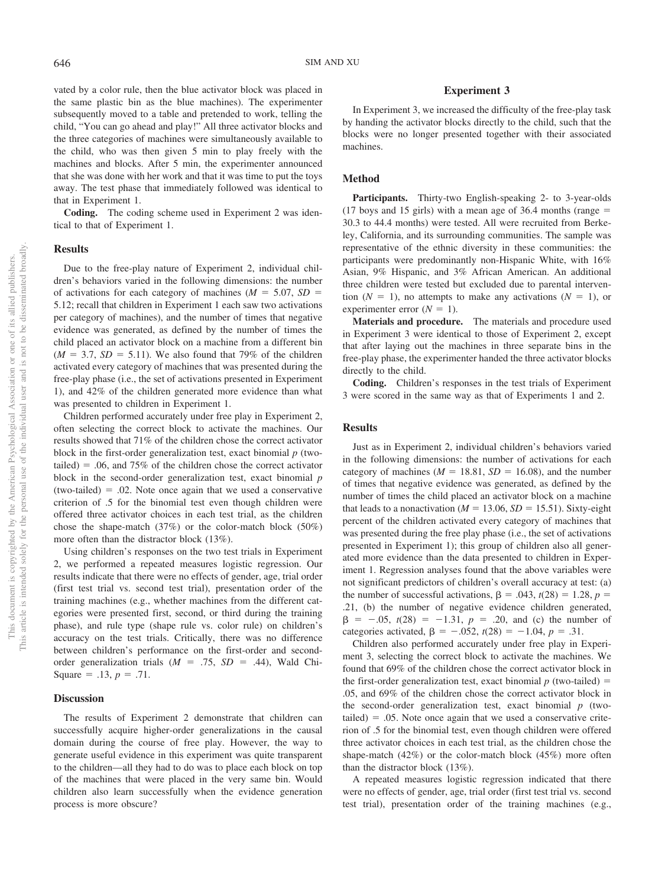vated by a color rule, then the blue activator block was placed in the same plastic bin as the blue machines). The experimenter subsequently moved to a table and pretended to work, telling the child, "You can go ahead and play!" All three activator blocks and the three categories of machines were simultaneously available to the child, who was then given 5 min to play freely with the machines and blocks. After 5 min, the experimenter announced that she was done with her work and that it was time to put the toys away. The test phase that immediately followed was identical to that in Experiment 1.

**Coding.** The coding scheme used in Experiment 2 was identical to that of Experiment 1.

#### **Results**

Due to the free-play nature of Experiment 2, individual children's behaviors varied in the following dimensions: the number of activations for each category of machines  $(M = 5.07, SD =$ 5.12; recall that children in Experiment 1 each saw two activations per category of machines), and the number of times that negative evidence was generated, as defined by the number of times the child placed an activator block on a machine from a different bin  $(M = 3.7, SD = 5.11)$ . We also found that 79% of the children activated every category of machines that was presented during the free-play phase (i.e., the set of activations presented in Experiment 1), and 42% of the children generated more evidence than what was presented to children in Experiment 1.

Children performed accurately under free play in Experiment 2, often selecting the correct block to activate the machines. Our results showed that 71% of the children chose the correct activator block in the first-order generalization test, exact binomial *p* (twotailed)  $=$  .06, and 75% of the children chose the correct activator block in the second-order generalization test, exact binomial *p*  $(two-tailed) = .02$ . Note once again that we used a conservative criterion of .5 for the binomial test even though children were offered three activator choices in each test trial, as the children chose the shape-match (37%) or the color-match block (50%) more often than the distractor block (13%).

Using children's responses on the two test trials in Experiment 2, we performed a repeated measures logistic regression. Our results indicate that there were no effects of gender, age, trial order (first test trial vs. second test trial), presentation order of the training machines (e.g., whether machines from the different categories were presented first, second, or third during the training phase), and rule type (shape rule vs. color rule) on children's accuracy on the test trials. Critically, there was no difference between children's performance on the first-order and secondorder generalization trials  $(M = .75, SD = .44)$ , Wald Chi-Square = .13,  $p = .71$ .

#### **Discussion**

The results of Experiment 2 demonstrate that children can successfully acquire higher-order generalizations in the causal domain during the course of free play. However, the way to generate useful evidence in this experiment was quite transparent to the children—all they had to do was to place each block on top of the machines that were placed in the very same bin. Would children also learn successfully when the evidence generation process is more obscure?

#### **Experiment 3**

In Experiment 3, we increased the difficulty of the free-play task by handing the activator blocks directly to the child, such that the blocks were no longer presented together with their associated machines.

#### **Method**

**Participants.** Thirty-two English-speaking 2- to 3-year-olds (17 boys and 15 girls) with a mean age of 36.4 months (range  $=$ 30.3 to 44.4 months) were tested. All were recruited from Berkeley, California, and its surrounding communities. The sample was representative of the ethnic diversity in these communities: the participants were predominantly non-Hispanic White, with 16% Asian, 9% Hispanic, and 3% African American. An additional three children were tested but excluded due to parental intervention  $(N = 1)$ , no attempts to make any activations  $(N = 1)$ , or experimenter error  $(N = 1)$ .

**Materials and procedure.** The materials and procedure used in Experiment 3 were identical to those of Experiment 2, except that after laying out the machines in three separate bins in the free-play phase, the experimenter handed the three activator blocks directly to the child.

**Coding.** Children's responses in the test trials of Experiment 3 were scored in the same way as that of Experiments 1 and 2.

#### **Results**

Just as in Experiment 2, individual children's behaviors varied in the following dimensions: the number of activations for each category of machines  $(M = 18.81, SD = 16.08)$ , and the number of times that negative evidence was generated, as defined by the number of times the child placed an activator block on a machine that leads to a nonactivation ( $M = 13.06$ ,  $SD = 15.51$ ). Sixty-eight percent of the children activated every category of machines that was presented during the free play phase (i.e., the set of activations presented in Experiment 1); this group of children also all generated more evidence than the data presented to children in Experiment 1. Regression analyses found that the above variables were not significant predictors of children's overall accuracy at test: (a) the number of successful activations,  $\beta = .043$ ,  $t(28) = 1.28$ ,  $p =$ .21, (b) the number of negative evidence children generated,  $\beta = -.05, t(28) = -1.31, p = .20, \text{ and (c) the number of}$ categories activated,  $\beta = -.052$ ,  $t(28) = -1.04$ ,  $p = .31$ .

Children also performed accurately under free play in Experiment 3, selecting the correct block to activate the machines. We found that 69% of the children chose the correct activator block in the first-order generalization test, exact binomial  $p$  (two-tailed) = .05, and 69% of the children chose the correct activator block in the second-order generalization test, exact binomial *p* (two- $\text{tailed}$  = .05. Note once again that we used a conservative criterion of .5 for the binomial test, even though children were offered three activator choices in each test trial, as the children chose the shape-match (42%) or the color-match block (45%) more often than the distractor block (13%).

A repeated measures logistic regression indicated that there were no effects of gender, age, trial order (first test trial vs. second test trial), presentation order of the training machines (e.g.,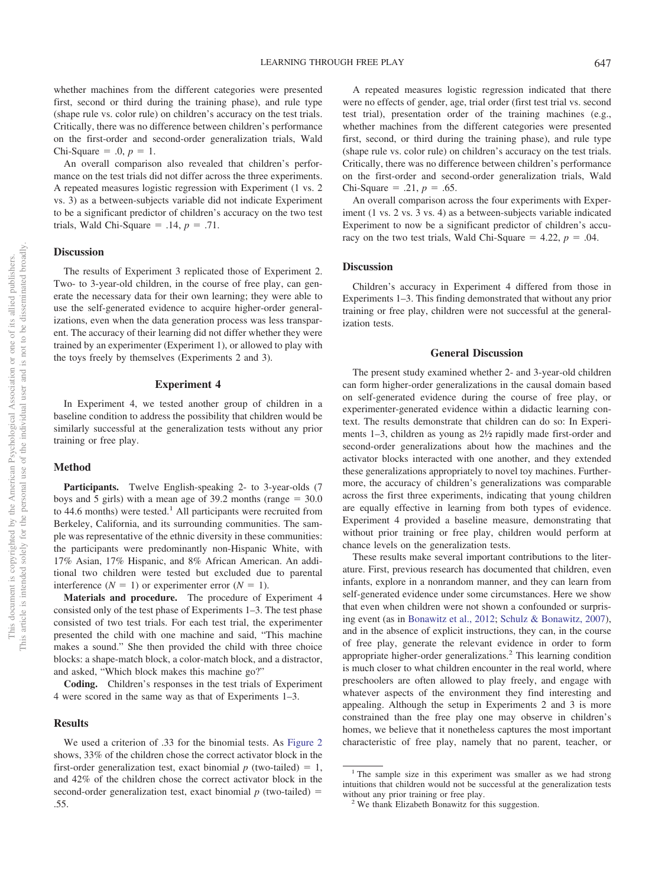whether machines from the different categories were presented first, second or third during the training phase), and rule type (shape rule vs. color rule) on children's accuracy on the test trials. Critically, there was no difference between children's performance on the first-order and second-order generalization trials, Wald Chi-Square = .0,  $p = 1$ .

An overall comparison also revealed that children's performance on the test trials did not differ across the three experiments. A repeated measures logistic regression with Experiment (1 vs. 2 vs. 3) as a between-subjects variable did not indicate Experiment to be a significant predictor of children's accuracy on the two test trials, Wald Chi-Square = .14,  $p = .71$ .

### **Discussion**

The results of Experiment 3 replicated those of Experiment 2. Two- to 3-year-old children, in the course of free play, can generate the necessary data for their own learning; they were able to use the self-generated evidence to acquire higher-order generalizations, even when the data generation process was less transparent. The accuracy of their learning did not differ whether they were trained by an experimenter (Experiment 1), or allowed to play with the toys freely by themselves (Experiments 2 and 3).

#### **Experiment 4**

In Experiment 4, we tested another group of children in a baseline condition to address the possibility that children would be similarly successful at the generalization tests without any prior training or free play.

#### **Method**

**Participants.** Twelve English-speaking 2- to 3-year-olds (7 boys and 5 girls) with a mean age of  $39.2$  months (range  $= 30.0$ to  $44.6$  months) were tested.<sup>1</sup> All participants were recruited from Berkeley, California, and its surrounding communities. The sample was representative of the ethnic diversity in these communities: the participants were predominantly non-Hispanic White, with 17% Asian, 17% Hispanic, and 8% African American. An additional two children were tested but excluded due to parental interference  $(N = 1)$  or experimenter error  $(N = 1)$ .

**Materials and procedure.** The procedure of Experiment 4 consisted only of the test phase of Experiments 1–3. The test phase consisted of two test trials. For each test trial, the experimenter presented the child with one machine and said, "This machine makes a sound." She then provided the child with three choice blocks: a shape-match block, a color-match block, and a distractor, and asked, "Which block makes this machine go?"

**Coding.** Children's responses in the test trials of Experiment 4 were scored in the same way as that of Experiments 1–3.

#### **Results**

We used a criterion of .33 for the binomial tests. As [Figure 2](#page-3-0) shows, 33% of the children chose the correct activator block in the first-order generalization test, exact binomial  $p$  (two-tailed) = 1, and 42% of the children chose the correct activator block in the second-order generalization test, exact binomial  $p$  (two-tailed) = .55.

A repeated measures logistic regression indicated that there were no effects of gender, age, trial order (first test trial vs. second test trial), presentation order of the training machines (e.g., whether machines from the different categories were presented first, second, or third during the training phase), and rule type (shape rule vs. color rule) on children's accuracy on the test trials. Critically, there was no difference between children's performance on the first-order and second-order generalization trials, Wald Chi-Square = .21,  $p = .65$ .

An overall comparison across the four experiments with Experiment (1 vs. 2 vs. 3 vs. 4) as a between-subjects variable indicated Experiment to now be a significant predictor of children's accuracy on the two test trials, Wald Chi-Square  $= 4.22$ ,  $p = .04$ .

#### **Discussion**

Children's accuracy in Experiment 4 differed from those in Experiments 1–3. This finding demonstrated that without any prior training or free play, children were not successful at the generalization tests.

#### **General Discussion**

The present study examined whether 2- and 3-year-old children can form higher-order generalizations in the causal domain based on self-generated evidence during the course of free play, or experimenter-generated evidence within a didactic learning context. The results demonstrate that children can do so: In Experiments 1–3, children as young as 2½ rapidly made first-order and second-order generalizations about how the machines and the activator blocks interacted with one another, and they extended these generalizations appropriately to novel toy machines. Furthermore, the accuracy of children's generalizations was comparable across the first three experiments, indicating that young children are equally effective in learning from both types of evidence. Experiment 4 provided a baseline measure, demonstrating that without prior training or free play, children would perform at chance levels on the generalization tests.

These results make several important contributions to the literature. First, previous research has documented that children, even infants, explore in a nonrandom manner, and they can learn from self-generated evidence under some circumstances. Here we show that even when children were not shown a confounded or surprising event (as in [Bonawitz et al., 2012;](#page-7-8) [Schulz & Bonawitz, 2007\)](#page-8-14), and in the absence of explicit instructions, they can, in the course of free play, generate the relevant evidence in order to form appropriate higher-order generalizations.2 This learning condition is much closer to what children encounter in the real world, where preschoolers are often allowed to play freely, and engage with whatever aspects of the environment they find interesting and appealing. Although the setup in Experiments 2 and 3 is more constrained than the free play one may observe in children's homes, we believe that it nonetheless captures the most important characteristic of free play, namely that no parent, teacher, or

<sup>&</sup>lt;sup>1</sup> The sample size in this experiment was smaller as we had strong intuitions that children would not be successful at the generalization tests without any prior training or free play.<br><sup>2</sup> We thank Elizabeth Bonawitz for this suggestion.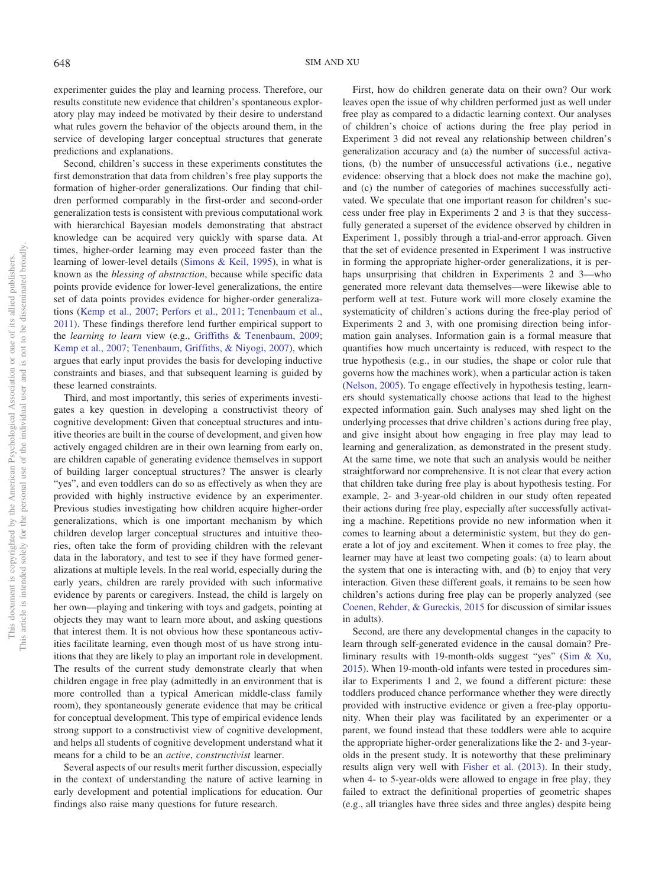experimenter guides the play and learning process. Therefore, our results constitute new evidence that children's spontaneous exploratory play may indeed be motivated by their desire to understand what rules govern the behavior of the objects around them, in the service of developing larger conceptual structures that generate predictions and explanations.

Second, children's success in these experiments constitutes the first demonstration that data from children's free play supports the formation of higher-order generalizations. Our finding that children performed comparably in the first-order and second-order generalization tests is consistent with previous computational work with hierarchical Bayesian models demonstrating that abstract knowledge can be acquired very quickly with sparse data. At times, higher-order learning may even proceed faster than the learning of lower-level details [\(Simons & Keil, 1995\)](#page-8-29), in what is known as the *blessing of abstraction*, because while specific data points provide evidence for lower-level generalizations, the entire set of data points provides evidence for higher-order generalizations [\(Kemp et al., 2007;](#page-8-3) [Perfors et al., 2011;](#page-8-5) [Tenenbaum et al.,](#page-9-6) [2011\)](#page-9-6). These findings therefore lend further empirical support to the *learning to learn* view (e.g., [Griffiths & Tenenbaum, 2009;](#page-8-26) [Kemp et al., 2007;](#page-8-3) [Tenenbaum, Griffiths, & Niyogi, 2007\)](#page-9-11), which argues that early input provides the basis for developing inductive constraints and biases, and that subsequent learning is guided by these learned constraints.

Third, and most importantly, this series of experiments investigates a key question in developing a constructivist theory of cognitive development: Given that conceptual structures and intuitive theories are built in the course of development, and given how actively engaged children are in their own learning from early on, are children capable of generating evidence themselves in support of building larger conceptual structures? The answer is clearly "yes", and even toddlers can do so as effectively as when they are provided with highly instructive evidence by an experimenter. Previous studies investigating how children acquire higher-order generalizations, which is one important mechanism by which children develop larger conceptual structures and intuitive theories, often take the form of providing children with the relevant data in the laboratory, and test to see if they have formed generalizations at multiple levels. In the real world, especially during the early years, children are rarely provided with such informative evidence by parents or caregivers. Instead, the child is largely on her own—playing and tinkering with toys and gadgets, pointing at objects they may want to learn more about, and asking questions that interest them. It is not obvious how these spontaneous activities facilitate learning, even though most of us have strong intuitions that they are likely to play an important role in development. The results of the current study demonstrate clearly that when children engage in free play (admittedly in an environment that is more controlled than a typical American middle-class family room), they spontaneously generate evidence that may be critical for conceptual development. This type of empirical evidence lends strong support to a constructivist view of cognitive development, and helps all students of cognitive development understand what it means for a child to be an *active*, *constructivist* learner.

Several aspects of our results merit further discussion, especially in the context of understanding the nature of active learning in early development and potential implications for education. Our findings also raise many questions for future research.

First, how do children generate data on their own? Our work leaves open the issue of why children performed just as well under free play as compared to a didactic learning context. Our analyses of children's choice of actions during the free play period in Experiment 3 did not reveal any relationship between children's generalization accuracy and (a) the number of successful activations, (b) the number of unsuccessful activations (i.e., negative evidence: observing that a block does not make the machine go), and (c) the number of categories of machines successfully activated. We speculate that one important reason for children's success under free play in Experiments 2 and 3 is that they successfully generated a superset of the evidence observed by children in Experiment 1, possibly through a trial-and-error approach. Given that the set of evidence presented in Experiment 1 was instructive in forming the appropriate higher-order generalizations, it is perhaps unsurprising that children in Experiments 2 and 3—who generated more relevant data themselves—were likewise able to perform well at test. Future work will more closely examine the systematicity of children's actions during the free-play period of Experiments 2 and 3, with one promising direction being information gain analyses. Information gain is a formal measure that quantifies how much uncertainty is reduced, with respect to the true hypothesis (e.g., in our studies, the shape or color rule that governs how the machines work), when a particular action is taken [\(Nelson, 2005\)](#page-8-30). To engage effectively in hypothesis testing, learners should systematically choose actions that lead to the highest expected information gain. Such analyses may shed light on the underlying processes that drive children's actions during free play, and give insight about how engaging in free play may lead to learning and generalization, as demonstrated in the present study. At the same time, we note that such an analysis would be neither straightforward nor comprehensive. It is not clear that every action that children take during free play is about hypothesis testing. For example, 2- and 3-year-old children in our study often repeated their actions during free play, especially after successfully activating a machine. Repetitions provide no new information when it comes to learning about a deterministic system, but they do generate a lot of joy and excitement. When it comes to free play, the learner may have at least two competing goals: (a) to learn about the system that one is interacting with, and (b) to enjoy that very interaction. Given these different goals, it remains to be seen how children's actions during free play can be properly analyzed (see [Coenen, Rehder, & Gureckis, 2015](#page-7-13) for discussion of similar issues in adults).

Second, are there any developmental changes in the capacity to learn through self-generated evidence in the causal domain? Preliminary results with 19-month-olds suggest "yes" [\(Sim & Xu,](#page-8-31) [2015\)](#page-8-31). When 19-month-old infants were tested in procedures similar to Experiments 1 and 2, we found a different picture: these toddlers produced chance performance whether they were directly provided with instructive evidence or given a free-play opportunity. When their play was facilitated by an experimenter or a parent, we found instead that these toddlers were able to acquire the appropriate higher-order generalizations like the 2- and 3-yearolds in the present study. It is noteworthy that these preliminary results align very well with [Fisher et al. \(2013\).](#page-7-11) In their study, when 4- to 5-year-olds were allowed to engage in free play, they failed to extract the definitional properties of geometric shapes (e.g., all triangles have three sides and three angles) despite being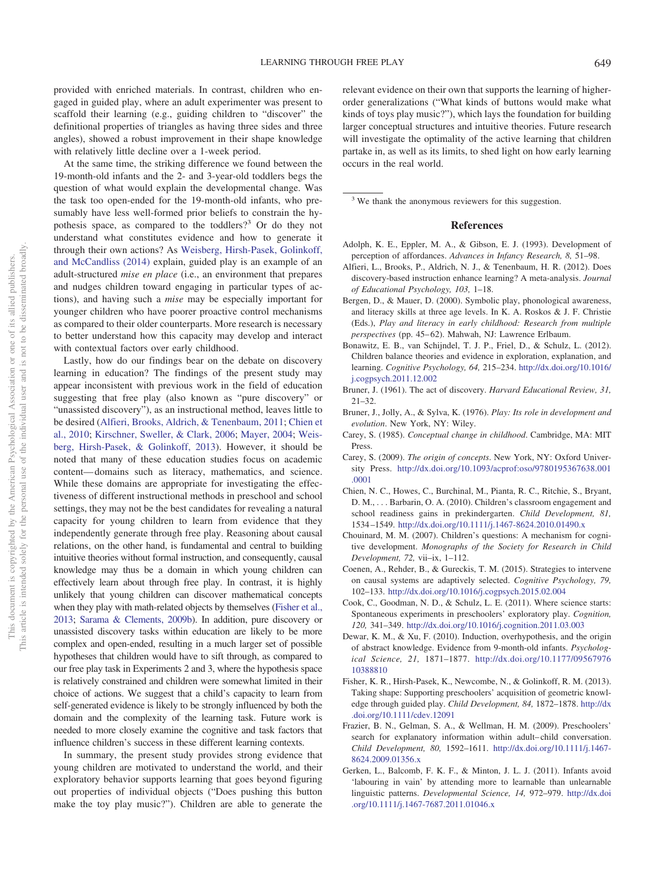At the same time, the striking difference we found between the 19-month-old infants and the 2- and 3-year-old toddlers begs the question of what would explain the developmental change. Was the task too open-ended for the 19-month-old infants, who presumably have less well-formed prior beliefs to constrain the hypothesis space, as compared to the toddlers?<sup>3</sup> Or do they not understand what constitutes evidence and how to generate it through their own actions? As [Weisberg, Hirsh-Pasek, Golinkoff,](#page-9-12) [and McCandliss \(2014\)](#page-9-12) explain, guided play is an example of an adult-structured *mise en place* (i.e., an environment that prepares and nudges children toward engaging in particular types of actions), and having such a *mise* may be especially important for younger children who have poorer proactive control mechanisms as compared to their older counterparts. More research is necessary to better understand how this capacity may develop and interact with contextual factors over early childhood.

Lastly, how do our findings bear on the debate on discovery learning in education? The findings of the present study may appear inconsistent with previous work in the field of education suggesting that free play (also known as "pure discovery" or "unassisted discovery"), as an instructional method, leaves little to be desired [\(Alfieri, Brooks, Aldrich, & Tenenbaum, 2011;](#page-7-14) [Chien et](#page-7-15) [al., 2010;](#page-7-15) [Kirschner, Sweller, & Clark, 2006;](#page-8-32) [Mayer, 2004;](#page-8-33) [Weis](#page-9-13)[berg, Hirsh-Pasek, & Golinkoff, 2013\)](#page-9-13). However, it should be noted that many of these education studies focus on academic content— domains such as literacy, mathematics, and science. While these domains are appropriate for investigating the effectiveness of different instructional methods in preschool and school settings, they may not be the best candidates for revealing a natural capacity for young children to learn from evidence that they independently generate through free play. Reasoning about causal relations, on the other hand, is fundamental and central to building intuitive theories without formal instruction, and consequently, causal knowledge may thus be a domain in which young children can effectively learn about through free play. In contrast, it is highly unlikely that young children can discover mathematical concepts when they play with math-related objects by themselves [\(Fisher et al.,](#page-7-11) [2013;](#page-7-11) [Sarama & Clements, 2009b\)](#page-8-34). In addition, pure discovery or unassisted discovery tasks within education are likely to be more complex and open-ended, resulting in a much larger set of possible hypotheses that children would have to sift through, as compared to our free play task in Experiments 2 and 3, where the hypothesis space is relatively constrained and children were somewhat limited in their choice of actions. We suggest that a child's capacity to learn from self-generated evidence is likely to be strongly influenced by both the domain and the complexity of the learning task. Future work is needed to more closely examine the cognitive and task factors that influence children's success in these different learning contexts.

In summary, the present study provides strong evidence that young children are motivated to understand the world, and their exploratory behavior supports learning that goes beyond figuring out properties of individual objects ("Does pushing this button make the toy play music?"). Children are able to generate the

relevant evidence on their own that supports the learning of higherorder generalizations ("What kinds of buttons would make what kinds of toys play music?"), which lays the foundation for building larger conceptual structures and intuitive theories. Future research will investigate the optimality of the active learning that children partake in, as well as its limits, to shed light on how early learning occurs in the real world.

<sup>3</sup> We thank the anonymous reviewers for this suggestion.

#### **References**

- <span id="page-7-4"></span>Adolph, K. E., Eppler, M. A., & Gibson, E. J. (1993). Development of perception of affordances. *Advances in Infancy Research, 8,* 51–98.
- <span id="page-7-14"></span>Alfieri, L., Brooks, P., Aldrich, N. J., & Tenenbaum, H. R. (2012). Does discovery-based instruction enhance learning? A meta-analysis. *Journal of Educational Psychology, 103,* 1–18.
- <span id="page-7-10"></span>Bergen, D., & Mauer, D. (2000). Symbolic play, phonological awareness, and literacy skills at three age levels. In K. A. Roskos & J. F. Christie (Eds.), *Play and literacy in early childhood: Research from multiple perspectives* (pp. 45–62). Mahwah, NJ: Lawrence Erlbaum.
- <span id="page-7-8"></span>Bonawitz, E. B., van Schijndel, T. J. P., Friel, D., & Schulz, L. (2012). Children balance theories and evidence in exploration, explanation, and learning. *Cognitive Psychology, 64,* 215–234. [http://dx.doi.org/10.1016/](http://dx.doi.org/10.1016/j.cogpsych.2011.12.002) [j.cogpsych.2011.12.002](http://dx.doi.org/10.1016/j.cogpsych.2011.12.002)
- <span id="page-7-0"></span>Bruner, J. (1961). The act of discovery. *Harvard Educational Review, 31,* 21–32.
- <span id="page-7-9"></span>Bruner, J., Jolly, A., & Sylva, K. (1976). *Play: Its role in development and evolution*. New York, NY: Wiley.
- <span id="page-7-2"></span>Carey, S. (1985). *Conceptual change in childhood*. Cambridge, MA: MIT Press.
- <span id="page-7-1"></span>Carey, S. (2009). *The origin of concepts*. New York, NY: Oxford University Press. [http://dx.doi.org/10.1093/acprof:oso/9780195367638.001](http://dx.doi.org/10.1093/acprof:oso/9780195367638.001.0001) [.0001](http://dx.doi.org/10.1093/acprof:oso/9780195367638.001.0001)
- <span id="page-7-15"></span>Chien, N. C., Howes, C., Burchinal, M., Pianta, R. C., Ritchie, S., Bryant, D. M., . . . Barbarin, O. A. (2010). Children's classroom engagement and school readiness gains in prekindergarten. *Child Development, 81,* 1534 –1549. <http://dx.doi.org/10.1111/j.1467-8624.2010.01490.x>
- <span id="page-7-6"></span>Chouinard, M. M. (2007). Children's questions: A mechanism for cognitive development. *Monographs of the Society for Research in Child Development, 72,* vii–ix, 1–112.
- <span id="page-7-13"></span>Coenen, A., Rehder, B., & Gureckis, T. M. (2015). Strategies to intervene on causal systems are adaptively selected. *Cognitive Psychology, 79,* 102–133. <http://dx.doi.org/10.1016/j.cogpsych.2015.02.004>
- <span id="page-7-12"></span>Cook, C., Goodman, N. D., & Schulz, L. E. (2011). Where science starts: Spontaneous experiments in preschoolers' exploratory play. *Cognition, 120,* 341–349. <http://dx.doi.org/10.1016/j.cognition.2011.03.003>
- <span id="page-7-3"></span>Dewar, K. M., & Xu, F. (2010). Induction, overhypothesis, and the origin of abstract knowledge. Evidence from 9-month-old infants. *Psychological Science, 21,* 1871–1877. [http://dx.doi.org/10.1177/09567976](http://dx.doi.org/10.1177/0956797610388810) [10388810](http://dx.doi.org/10.1177/0956797610388810)
- <span id="page-7-11"></span>Fisher, K. R., Hirsh-Pasek, K., Newcombe, N., & Golinkoff, R. M. (2013). Taking shape: Supporting preschoolers' acquisition of geometric knowledge through guided play. *Child Development, 84,* 1872–1878. [http://dx](http://dx.doi.org/10.1111/cdev.12091) [.doi.org/10.1111/cdev.12091](http://dx.doi.org/10.1111/cdev.12091)
- <span id="page-7-7"></span>Frazier, B. N., Gelman, S. A., & Wellman, H. M. (2009). Preschoolers' search for explanatory information within adult– child conversation. *Child Development, 80,* 1592–1611. [http://dx.doi.org/10.1111/j.1467-](http://dx.doi.org/10.1111/j.1467-8624.2009.01356.x) [8624.2009.01356.x](http://dx.doi.org/10.1111/j.1467-8624.2009.01356.x)
- <span id="page-7-5"></span>Gerken, L., Balcomb, F. K. F., & Minton, J. L. J. (2011). Infants avoid 'labouring in vain' by attending more to learnable than unlearnable linguistic patterns. *Developmental Science, 14,* 972–979. [http://dx.doi](http://dx.doi.org/10.1111/j.1467-7687.2011.01046.x) [.org/10.1111/j.1467-7687.2011.01046.x](http://dx.doi.org/10.1111/j.1467-7687.2011.01046.x)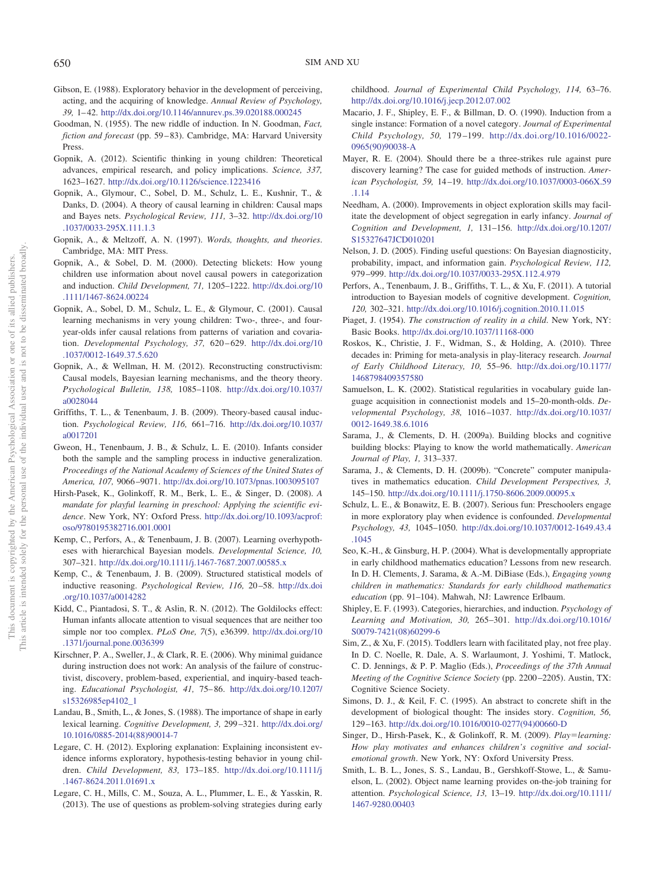- <span id="page-8-11"></span>Gibson, E. (1988). Exploratory behavior in the development of perceiving, acting, and the acquiring of knowledge. *Annual Review of Psychology, 39,* 1– 42. <http://dx.doi.org/10.1146/annurev.ps.39.020188.000245>
- <span id="page-8-2"></span>Goodman, N. (1955). The new riddle of induction. In N. Goodman, *Fact, fiction and forecast* (pp. 59 – 83). Cambridge, MA: Harvard University Press.
- <span id="page-8-22"></span>Gopnik, A. (2012). Scientific thinking in young children: Theoretical advances, empirical research, and policy implications. *Science, 337,* 1623–1627. <http://dx.doi.org/10.1126/science.1223416>
- <span id="page-8-25"></span>Gopnik, A., Glymour, C., Sobel, D. M., Schulz, L. E., Kushnir, T., & Danks, D. (2004). A theory of causal learning in children: Causal maps and Bayes nets. *Psychological Review, 111,* 3–32. [http://dx.doi.org/10](http://dx.doi.org/10.1037/0033-295X.111.1.3) [.1037/0033-295X.111.1.3](http://dx.doi.org/10.1037/0033-295X.111.1.3)
- <span id="page-8-0"></span>Gopnik, A., & Meltzoff, A. N. (1997). *Words, thoughts, and theories*. Cambridge, MA: MIT Press.
- <span id="page-8-28"></span>Gopnik, A., & Sobel, D. M. (2000). Detecting blickets: How young children use information about novel causal powers in categorization and induction. *Child Development, 71,* 1205–1222. [http://dx.doi.org/10](http://dx.doi.org/10.1111/1467-8624.00224) [.1111/1467-8624.00224](http://dx.doi.org/10.1111/1467-8624.00224)
- <span id="page-8-23"></span>Gopnik, A., Sobel, D. M., Schulz, L. E., & Glymour, C. (2001). Causal learning mechanisms in very young children: Two-, three-, and fouryear-olds infer causal relations from patterns of variation and covariation. *Developmental Psychology, 37,* 620 – 629. [http://dx.doi.org/10](http://dx.doi.org/10.1037/0012-1649.37.5.620) [.1037/0012-1649.37.5.620](http://dx.doi.org/10.1037/0012-1649.37.5.620)
- <span id="page-8-24"></span>Gopnik, A., & Wellman, H. M. (2012). Reconstructing constructivism: Causal models, Bayesian learning mechanisms, and the theory theory. *Psychological Bulletin, 138,* 1085–1108. [http://dx.doi.org/10.1037/](http://dx.doi.org/10.1037/a0028044) [a0028044](http://dx.doi.org/10.1037/a0028044)
- <span id="page-8-26"></span>Griffiths, T. L., & Tenenbaum, J. B. (2009). Theory-based causal induction. *Psychological Review, 116,* 661–716. [http://dx.doi.org/10.1037/](http://dx.doi.org/10.1037/a0017201) [a0017201](http://dx.doi.org/10.1037/a0017201)
- <span id="page-8-27"></span>Gweon, H., Tenenbaum, J. B., & Schulz, L. E. (2010). Infants consider both the sample and the sampling process in inductive generalization. *Proceedings of the National Academy of Sciences of the United States of America, 107,* 9066 –9071. <http://dx.doi.org/10.1073/pnas.1003095107>
- <span id="page-8-16"></span>Hirsh-Pasek, K., Golinkoff, R. M., Berk, L. E., & Singer, D. (2008). *A mandate for playful learning in preschool: Applying the scientific evidence*. New York, NY: Oxford Press. [http://dx.doi.org/10.1093/acprof:](http://dx.doi.org/10.1093/acprof:oso/9780195382716.001.0001) [oso/9780195382716.001.0001](http://dx.doi.org/10.1093/acprof:oso/9780195382716.001.0001)
- <span id="page-8-3"></span>Kemp, C., Perfors, A., & Tenenbaum, J. B. (2007). Learning overhypotheses with hierarchical Bayesian models. *Developmental Science, 10,* 307–321. <http://dx.doi.org/10.1111/j.1467-7687.2007.00585.x>
- <span id="page-8-4"></span>Kemp, C., & Tenenbaum, J. B. (2009). Structured statistical models of inductive reasoning. *Psychological Review, 116,* 20 –58. [http://dx.doi](http://dx.doi.org/10.1037/a0014282) [.org/10.1037/a0014282](http://dx.doi.org/10.1037/a0014282)
- <span id="page-8-13"></span>Kidd, C., Piantadosi, S. T., & Aslin, R. N. (2012). The Goldilocks effect: Human infants allocate attention to visual sequences that are neither too simple nor too complex. *PLoS One, 7*(5), e36399. [http://dx.doi.org/10](http://dx.doi.org/10.1371/journal.pone.0036399) [.1371/journal.pone.0036399](http://dx.doi.org/10.1371/journal.pone.0036399)
- <span id="page-8-32"></span>Kirschner, P. A., Sweller, J., & Clark, R. E. (2006). Why minimal guidance during instruction does not work: An analysis of the failure of constructivist, discovery, problem-based, experiential, and inquiry-based teaching. *Educational Psychologist, 41,* 75– 86. [http://dx.doi.org/10.1207/](http://dx.doi.org/10.1207/s15326985ep4102_1) [s15326985ep4102\\_1](http://dx.doi.org/10.1207/s15326985ep4102_1)
- <span id="page-8-7"></span>Landau, B., Smith, L., & Jones, S. (1988). The importance of shape in early lexical learning. *Cognitive Development, 3,* 299 –321. [http://dx.doi.org/](http://dx.doi.org/10.1016/0885-2014%2888%2990014-7) [10.1016/0885-2014\(88\)90014-7](http://dx.doi.org/10.1016/0885-2014%2888%2990014-7)
- <span id="page-8-21"></span>Legare, C. H. (2012). Exploring explanation: Explaining inconsistent evidence informs exploratory, hypothesis-testing behavior in young children. *Child Development, 83,* 173–185. [http://dx.doi.org/10.1111/j](http://dx.doi.org/10.1111/j.1467-8624.2011.01691.x) [.1467-8624.2011.01691.x](http://dx.doi.org/10.1111/j.1467-8624.2011.01691.x)
- <span id="page-8-15"></span>Legare, C. H., Mills, C. M., Souza, A. L., Plummer, L. E., & Yasskin, R. (2013). The use of questions as problem-solving strategies during early

childhood. *Journal of Experimental Child Psychology, 114,* 63–76. <http://dx.doi.org/10.1016/j.jecp.2012.07.002>

- <span id="page-8-8"></span>Macario, J. F., Shipley, E. F., & Billman, D. O. (1990). Induction from a single instance: Formation of a novel category. *Journal of Experimental Child Psychology, 50,* 179 –199. [http://dx.doi.org/10.1016/0022-](http://dx.doi.org/10.1016/0022-0965%2890%2990038-A) [0965\(90\)90038-A](http://dx.doi.org/10.1016/0022-0965%2890%2990038-A)
- <span id="page-8-33"></span>Mayer, R. E. (2004). Should there be a three-strikes rule against pure discovery learning? The case for guided methods of instruction. *American Psychologist, 59,* 14 –19. [http://dx.doi.org/10.1037/0003-066X.59](http://dx.doi.org/10.1037/0003-066X.59.1.14) [.1.14](http://dx.doi.org/10.1037/0003-066X.59.1.14)
- <span id="page-8-12"></span>Needham, A. (2000). Improvements in object exploration skills may facilitate the development of object segregation in early infancy. *Journal of Cognition and Development, 1,* 131–156. [http://dx.doi.org/10.1207/](http://dx.doi.org/10.1207/S15327647JCD010201) [S15327647JCD010201](http://dx.doi.org/10.1207/S15327647JCD010201)
- <span id="page-8-30"></span>Nelson, J. D. (2005). Finding useful questions: On Bayesian diagnosticity, probability, impact, and information gain. *Psychological Review, 112,* 979 –999. <http://dx.doi.org/10.1037/0033-295X.112.4.979>
- <span id="page-8-5"></span>Perfors, A., Tenenbaum, J. B., Griffiths, T. L., & Xu, F. (2011). A tutorial introduction to Bayesian models of cognitive development. *Cognition, 120,* 302–321. <http://dx.doi.org/10.1016/j.cognition.2010.11.015>
- <span id="page-8-1"></span>Piaget, J. (1954). *The construction of reality in a child*. New York, NY: Basic Books. <http://dx.doi.org/10.1037/11168-000>
- <span id="page-8-17"></span>Roskos, K., Christie, J. F., Widman, S., & Holding, A. (2010). Three decades in: Priming for meta-analysis in play-literacy research. *Journal of Early Childhood Literacy, 10,* 55–96. [http://dx.doi.org/10.1177/](http://dx.doi.org/10.1177/1468798409357580) [1468798409357580](http://dx.doi.org/10.1177/1468798409357580)
- <span id="page-8-9"></span>Samuelson, L. K. (2002). Statistical regularities in vocabulary guide language acquisition in connectionist models and 15–20-month-olds. *Developmental Psychology, 38,* 1016 –1037. [http://dx.doi.org/10.1037/](http://dx.doi.org/10.1037/0012-1649.38.6.1016) [0012-1649.38.6.1016](http://dx.doi.org/10.1037/0012-1649.38.6.1016)
- <span id="page-8-18"></span>Sarama, J., & Clements, D. H. (2009a). Building blocks and cognitive building blocks: Playing to know the world mathematically. *American Journal of Play, 1,* 313–337.
- <span id="page-8-34"></span>Sarama, J., & Clements, D. H. (2009b). "Concrete" computer manipulatives in mathematics education. *Child Development Perspectives, 3,* 145–150. <http://dx.doi.org/10.1111/j.1750-8606.2009.00095.x>
- <span id="page-8-14"></span>Schulz, L. E., & Bonawitz, E. B. (2007). Serious fun: Preschoolers engage in more exploratory play when evidence is confounded. *Developmental Psychology, 43,* 1045–1050. [http://dx.doi.org/10.1037/0012-1649.43.4](http://dx.doi.org/10.1037/0012-1649.43.4.1045) [.1045](http://dx.doi.org/10.1037/0012-1649.43.4.1045)
- <span id="page-8-19"></span>Seo, K.-H., & Ginsburg, H. P. (2004). What is developmentally appropriate in early childhood mathematics education? Lessons from new research. In D. H. Clements, J. Sarama, & A.-M. DiBiase (Eds.), *Engaging young children in mathematics: Standards for early childhood mathematics education* (pp. 91–104). Mahwah, NJ: Lawrence Erlbaum.
- <span id="page-8-6"></span>Shipley, E. F. (1993). Categories, hierarchies, and induction. *Psychology of Learning and Motivation, 30,* 265–301. [http://dx.doi.org/10.1016/](http://dx.doi.org/10.1016/S0079-7421%2808%2960299-6) [S0079-7421\(08\)60299-6](http://dx.doi.org/10.1016/S0079-7421%2808%2960299-6)
- <span id="page-8-31"></span>Sim, Z., & Xu, F. (2015). Toddlers learn with facilitated play, not free play. In D. C. Noelle, R. Dale, A. S. Warlaumont, J. Yoshimi, T. Matlock, C. D. Jennings, & P. P. Maglio (Eds.), *Proceedings of the 37th Annual Meeting of the Cognitive Science Society* (pp. 2200 –2205). Austin, TX: Cognitive Science Society.
- <span id="page-8-29"></span>Simons, D. J., & Keil, F. C. (1995). An abstract to concrete shift in the development of biological thought: The insides story. *Cognition, 56,* 129 –163. [http://dx.doi.org/10.1016/0010-0277\(94\)00660-D](http://dx.doi.org/10.1016/0010-0277%2894%2900660-D)
- <span id="page-8-20"></span>Singer, D., Hirsh-Pasek, K., & Golinkoff, R. M. (2009). *Play*-*learning: How play motivates and enhances children's cognitive and socialemotional growth*. New York, NY: Oxford University Press.
- <span id="page-8-10"></span>Smith, L. B. L., Jones, S. S., Landau, B., Gershkoff-Stowe, L., & Samuelson, L. (2002). Object name learning provides on-the-job training for attention. *Psychological Science, 13,* 13–19. [http://dx.doi.org/10.1111/](http://dx.doi.org/10.1111/1467-9280.00403) [1467-9280.00403](http://dx.doi.org/10.1111/1467-9280.00403)